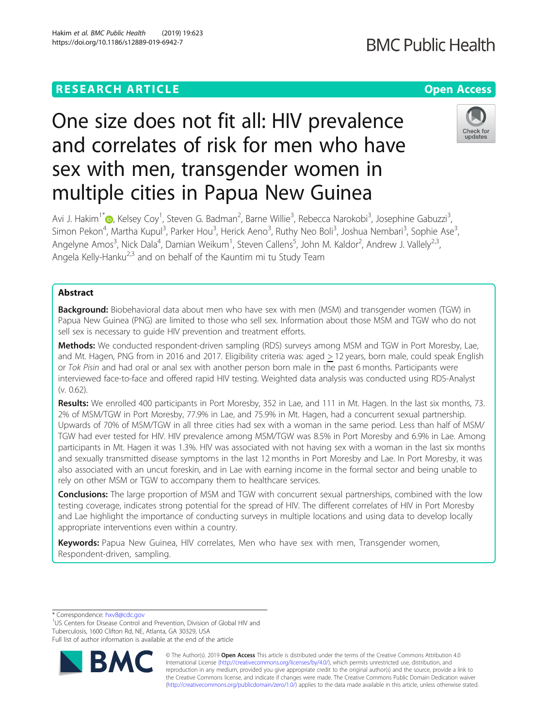## **RESEARCH ARTICLE Example 2018 12:30 THE Open Access**

# One size does not fit all: HIV prevalence and correlates of risk for men who have sex with men, transgender women in multiple cities in Papua New Guinea

Avi J. Hakim<sup>1[\\*](http://orcid.org/0000-0001-6754-6241)</sup>io, Kelsey Coy<sup>1</sup>, Steven G. Badman<sup>2</sup>, Barne Willie<sup>3</sup>, Rebecca Narokobi<sup>3</sup>, Josephine Gabuzzi<sup>3</sup> , Simon Pekon<sup>4</sup>, Martha Kupul<sup>3</sup>, Parker Hou<sup>3</sup>, Herick Aeno<sup>3</sup>, Ruthy Neo Boli<sup>3</sup>, Joshua Nembari<sup>3</sup>, Sophie Ase<sup>3</sup> , Angelyne Amos<sup>3</sup>, Nick Dala<sup>4</sup>, Damian Weikum<sup>1</sup>, Steven Callens<sup>5</sup>, John M. Kaldor<sup>2</sup>, Andrew J. Vallely<sup>2,3</sup>, Angela Kelly-Hanku<sup>2,3</sup> and on behalf of the Kauntim mi tu Study Team

## Abstract

Background: Biobehavioral data about men who have sex with men (MSM) and transgender women (TGW) in Papua New Guinea (PNG) are limited to those who sell sex. Information about those MSM and TGW who do not sell sex is necessary to guide HIV prevention and treatment efforts.

Methods: We conducted respondent-driven sampling (RDS) surveys among MSM and TGW in Port Moresby, Lae, and Mt. Hagen, PNG from in 2016 and 2017. Eligibility criteria was: aged > 12 years, born male, could speak English or Tok Pisin and had oral or anal sex with another person born male in the past 6 months. Participants were interviewed face-to-face and offered rapid HIV testing. Weighted data analysis was conducted using RDS-Analyst (v. 0.62).

Results: We enrolled 400 participants in Port Moresby, 352 in Lae, and 111 in Mt. Hagen. In the last six months, 73. 2% of MSM/TGW in Port Moresby, 77.9% in Lae, and 75.9% in Mt. Hagen, had a concurrent sexual partnership. Upwards of 70% of MSM/TGW in all three cities had sex with a woman in the same period. Less than half of MSM/ TGW had ever tested for HIV. HIV prevalence among MSM/TGW was 8.5% in Port Moresby and 6.9% in Lae. Among participants in Mt. Hagen it was 1.3%. HIV was associated with not having sex with a woman in the last six months and sexually transmitted disease symptoms in the last 12 months in Port Moresby and Lae. In Port Moresby, it was also associated with an uncut foreskin, and in Lae with earning income in the formal sector and being unable to rely on other MSM or TGW to accompany them to healthcare services.

**Conclusions:** The large proportion of MSM and TGW with concurrent sexual partnerships, combined with the low testing coverage, indicates strong potential for the spread of HIV. The different correlates of HIV in Port Moresby and Lae highlight the importance of conducting surveys in multiple locations and using data to develop locally appropriate interventions even within a country.

Keywords: Papua New Guinea, HIV correlates, Men who have sex with men, Transgender women, Respondent-driven, sampling.

\* Correspondence: [hxv8@cdc.gov](mailto:hxv8@cdc.gov) <sup>1</sup>

<sup>1</sup>US Centers for Disease Control and Prevention, Division of Global HIV and Tuberculosis, 1600 Clifton Rd, NE, Atlanta, GA 30329, USA

Full list of author information is available at the end of the article



© The Author(s). 2019 **Open Access** This article is distributed under the terms of the Creative Commons Attribution 4.0 International License [\(http://creativecommons.org/licenses/by/4.0/](http://creativecommons.org/licenses/by/4.0/)), which permits unrestricted use, distribution, and reproduction in any medium, provided you give appropriate credit to the original author(s) and the source, provide a link to the Creative Commons license, and indicate if changes were made. The Creative Commons Public Domain Dedication waiver [\(http://creativecommons.org/publicdomain/zero/1.0/](http://creativecommons.org/publicdomain/zero/1.0/)) applies to the data made available in this article, unless otherwise stated.

**BMC Public Health** 

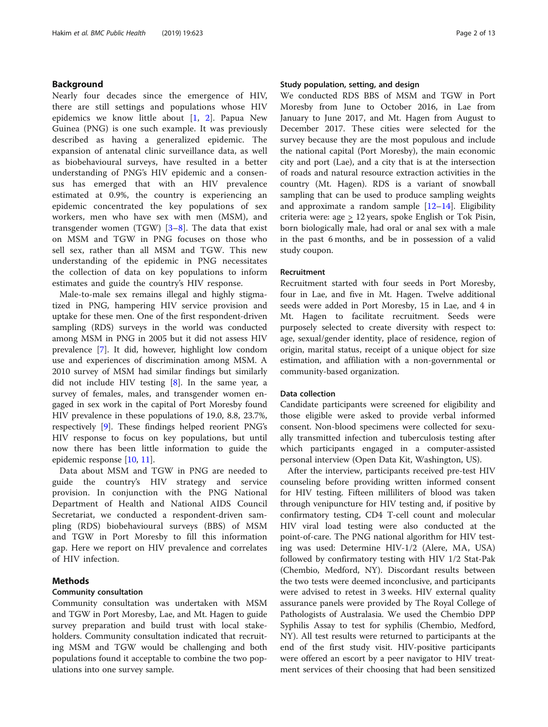## Background

Nearly four decades since the emergence of HIV, there are still settings and populations whose HIV epidemics we know little about [[1,](#page-11-0) [2](#page-11-0)]. Papua New Guinea (PNG) is one such example. It was previously described as having a generalized epidemic. The expansion of antenatal clinic surveillance data, as well as biobehavioural surveys, have resulted in a better understanding of PNG's HIV epidemic and a consensus has emerged that with an HIV prevalence estimated at 0.9%, the country is experiencing an epidemic concentrated the key populations of sex workers, men who have sex with men (MSM), and transgender women (TGW)  $[3-8]$  $[3-8]$  $[3-8]$  $[3-8]$ . The data that exist on MSM and TGW in PNG focuses on those who sell sex, rather than all MSM and TGW. This new understanding of the epidemic in PNG necessitates the collection of data on key populations to inform estimates and guide the country's HIV response.

Male-to-male sex remains illegal and highly stigmatized in PNG, hampering HIV service provision and uptake for these men. One of the first respondent-driven sampling (RDS) surveys in the world was conducted among MSM in PNG in 2005 but it did not assess HIV prevalence [\[7](#page-11-0)]. It did, however, highlight low condom use and experiences of discrimination among MSM. A 2010 survey of MSM had similar findings but similarly did not include HIV testing  $[8]$  $[8]$ . In the same year, a survey of females, males, and transgender women engaged in sex work in the capital of Port Moresby found HIV prevalence in these populations of 19.0, 8.8, 23.7%, respectively [[9\]](#page-11-0). These findings helped reorient PNG's HIV response to focus on key populations, but until now there has been little information to guide the epidemic response [\[10](#page-11-0), [11](#page-11-0)].

Data about MSM and TGW in PNG are needed to guide the country's HIV strategy and service provision. In conjunction with the PNG National Department of Health and National AIDS Council Secretariat, we conducted a respondent-driven sampling (RDS) biobehavioural surveys (BBS) of MSM and TGW in Port Moresby to fill this information gap. Here we report on HIV prevalence and correlates of HIV infection.

## Methods

## Community consultation

Community consultation was undertaken with MSM and TGW in Port Moresby, Lae, and Mt. Hagen to guide survey preparation and build trust with local stakeholders. Community consultation indicated that recruiting MSM and TGW would be challenging and both populations found it acceptable to combine the two populations into one survey sample.

## Study population, setting, and design

We conducted RDS BBS of MSM and TGW in Port Moresby from June to October 2016, in Lae from January to June 2017, and Mt. Hagen from August to December 2017. These cities were selected for the survey because they are the most populous and include the national capital (Port Moresby), the main economic city and port (Lae), and a city that is at the intersection of roads and natural resource extraction activities in the country (Mt. Hagen). RDS is a variant of snowball sampling that can be used to produce sampling weights and approximate a random sample  $[12-14]$  $[12-14]$  $[12-14]$ . Eligibility criteria were: age > 12 years, spoke English or Tok Pisin, born biologically male, had oral or anal sex with a male in the past 6 months, and be in possession of a valid study coupon.

#### Recruitment

Recruitment started with four seeds in Port Moresby, four in Lae, and five in Mt. Hagen. Twelve additional seeds were added in Port Moresby, 15 in Lae, and 4 in Mt. Hagen to facilitate recruitment. Seeds were purposely selected to create diversity with respect to: age, sexual/gender identity, place of residence, region of origin, marital status, receipt of a unique object for size estimation, and affiliation with a non-governmental or community-based organization.

## Data collection

Candidate participants were screened for eligibility and those eligible were asked to provide verbal informed consent. Non-blood specimens were collected for sexually transmitted infection and tuberculosis testing after which participants engaged in a computer-assisted personal interview (Open Data Kit, Washington, US).

After the interview, participants received pre-test HIV counseling before providing written informed consent for HIV testing. Fifteen milliliters of blood was taken through venipuncture for HIV testing and, if positive by confirmatory testing, CD4 T-cell count and molecular HIV viral load testing were also conducted at the point-of-care. The PNG national algorithm for HIV testing was used: Determine HIV-1/2 (Alere, MA, USA) followed by confirmatory testing with HIV 1/2 Stat-Pak (Chembio, Medford, NY). Discordant results between the two tests were deemed inconclusive, and participants were advised to retest in 3 weeks. HIV external quality assurance panels were provided by The Royal College of Pathologists of Australasia. We used the Chembio DPP Syphilis Assay to test for syphilis (Chembio, Medford, NY). All test results were returned to participants at the end of the first study visit. HIV-positive participants were offered an escort by a peer navigator to HIV treatment services of their choosing that had been sensitized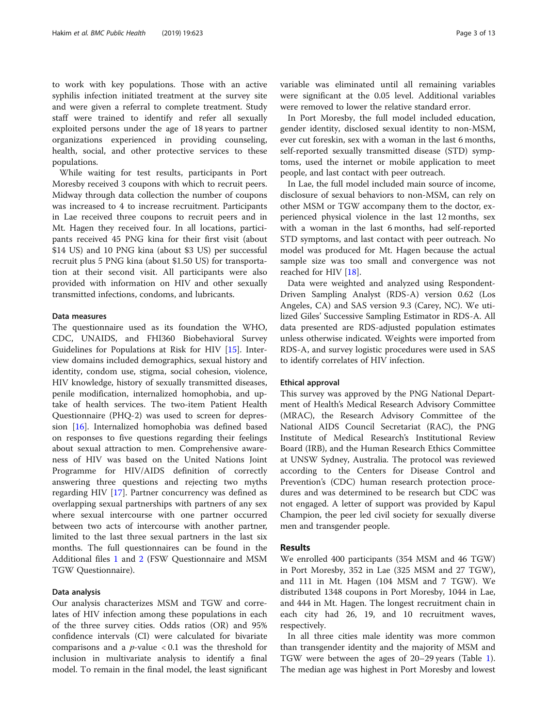to work with key populations. Those with an active syphilis infection initiated treatment at the survey site and were given a referral to complete treatment. Study staff were trained to identify and refer all sexually exploited persons under the age of 18 years to partner organizations experienced in providing counseling, health, social, and other protective services to these populations.

While waiting for test results, participants in Port Moresby received 3 coupons with which to recruit peers. Midway through data collection the number of coupons was increased to 4 to increase recruitment. Participants in Lae received three coupons to recruit peers and in Mt. Hagen they received four. In all locations, participants received 45 PNG kina for their first visit (about \$14 US) and 10 PNG kina (about \$3 US) per successful recruit plus 5 PNG kina (about \$1.50 US) for transportation at their second visit. All participants were also provided with information on HIV and other sexually transmitted infections, condoms, and lubricants.

## Data measures

The questionnaire used as its foundation the WHO, CDC, UNAIDS, and FHI360 Biobehavioral Survey Guidelines for Populations at Risk for HIV [[15\]](#page-12-0). Interview domains included demographics, sexual history and identity, condom use, stigma, social cohesion, violence, HIV knowledge, history of sexually transmitted diseases, penile modification, internalized homophobia, and uptake of health services. The two-item Patient Health Questionnaire (PHQ-2) was used to screen for depression [[16\]](#page-12-0). Internalized homophobia was defined based on responses to five questions regarding their feelings about sexual attraction to men. Comprehensive awareness of HIV was based on the United Nations Joint Programme for HIV/AIDS definition of correctly answering three questions and rejecting two myths regarding HIV [\[17](#page-12-0)]. Partner concurrency was defined as overlapping sexual partnerships with partners of any sex where sexual intercourse with one partner occurred between two acts of intercourse with another partner, limited to the last three sexual partners in the last six months. The full questionnaires can be found in the Additional files [1](#page-11-0) and [2](#page-11-0) (FSW Questionnaire and MSM TGW Questionnaire).

#### Data analysis

Our analysis characterizes MSM and TGW and correlates of HIV infection among these populations in each of the three survey cities. Odds ratios (OR) and 95% confidence intervals (CI) were calculated for bivariate comparisons and a  $p$ -value < 0.1 was the threshold for inclusion in multivariate analysis to identify a final model. To remain in the final model, the least significant variable was eliminated until all remaining variables were significant at the 0.05 level. Additional variables were removed to lower the relative standard error.

In Port Moresby, the full model included education, gender identity, disclosed sexual identity to non-MSM, ever cut foreskin, sex with a woman in the last 6 months, self-reported sexually transmitted disease (STD) symptoms, used the internet or mobile application to meet people, and last contact with peer outreach.

In Lae, the full model included main source of income, disclosure of sexual behaviors to non-MSM, can rely on other MSM or TGW accompany them to the doctor, experienced physical violence in the last 12 months, sex with a woman in the last 6 months, had self-reported STD symptoms, and last contact with peer outreach. No model was produced for Mt. Hagen because the actual sample size was too small and convergence was not reached for HIV [[18\]](#page-12-0).

Data were weighted and analyzed using Respondent-Driven Sampling Analyst (RDS-A) version 0.62 (Los Angeles, CA) and SAS version 9.3 (Carey, NC). We utilized Giles' Successive Sampling Estimator in RDS-A. All data presented are RDS-adjusted population estimates unless otherwise indicated. Weights were imported from RDS-A, and survey logistic procedures were used in SAS to identify correlates of HIV infection.

#### Ethical approval

This survey was approved by the PNG National Department of Health's Medical Research Advisory Committee (MRAC), the Research Advisory Committee of the National AIDS Council Secretariat (RAC), the PNG Institute of Medical Research's Institutional Review Board (IRB), and the Human Research Ethics Committee at UNSW Sydney, Australia. The protocol was reviewed according to the Centers for Disease Control and Prevention's (CDC) human research protection procedures and was determined to be research but CDC was not engaged. A letter of support was provided by Kapul Champion, the peer led civil society for sexually diverse men and transgender people.

## Results

We enrolled 400 participants (354 MSM and 46 TGW) in Port Moresby, 352 in Lae (325 MSM and 27 TGW), and 111 in Mt. Hagen (104 MSM and 7 TGW). We distributed 1348 coupons in Port Moresby, 1044 in Lae, and 444 in Mt. Hagen. The longest recruitment chain in each city had 26, 19, and 10 recruitment waves, respectively.

In all three cities male identity was more common than transgender identity and the majority of MSM and TGW were between the ages of 20–29 years (Table [1](#page-3-0)). The median age was highest in Port Moresby and lowest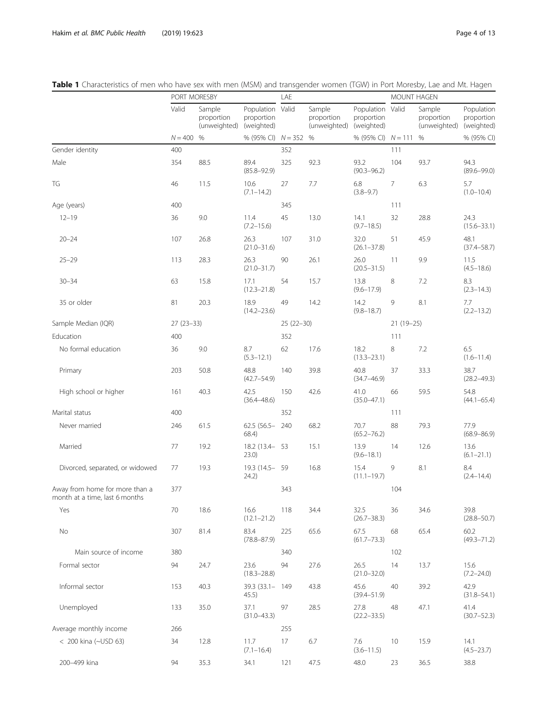|                                                                  | PORT MORESBY |                                      |                                              | LAE         |                                      |                                              | MOUNT HAGEN |                                      |                                        |
|------------------------------------------------------------------|--------------|--------------------------------------|----------------------------------------------|-------------|--------------------------------------|----------------------------------------------|-------------|--------------------------------------|----------------------------------------|
|                                                                  | Valid        | Sample<br>proportion<br>(unweighted) | Population Valid<br>proportion<br>(weighted) |             | Sample<br>proportion<br>(unweighted) | Population Valid<br>proportion<br>(weighted) |             | Sample<br>proportion<br>(unweighted) | Population<br>proportion<br>(weighted) |
|                                                                  | $N = 400$    | %                                    | % (95% CI) $N = 352$ %                       |             |                                      | % (95% CI) $N = 111$                         |             | %                                    | % (95% CI)                             |
| Gender identity                                                  | 400          |                                      |                                              | 352         |                                      |                                              | 111         |                                      |                                        |
| Male                                                             | 354          | 88.5                                 | 89.4<br>$(85.8 - 92.9)$                      | 325         | 92.3                                 | 93.2<br>$(90.3 - 96.2)$                      | 104         | 93.7                                 | 94.3<br>$(89.6 - 99.0)$                |
| TG                                                               | 46           | 11.5                                 | 10.6<br>$(7.1 - 14.2)$                       | 27          | 7.7                                  | 6.8<br>$(3.8 - 9.7)$                         | 7           | 6.3                                  | 5.7<br>$(1.0 - 10.4)$                  |
| Age (years)                                                      | 400          |                                      |                                              | 345         |                                      |                                              | 111         |                                      |                                        |
| $12 - 19$                                                        | 36           | 9.0                                  | 11.4<br>$(7.2 - 15.6)$                       | 45          | 13.0                                 | 14.1<br>$(9.7 - 18.5)$                       | 32          | 28.8                                 | 24.3<br>$(15.6 - 33.1)$                |
| $20 - 24$                                                        | 107          | 26.8                                 | 26.3<br>$(21.0 - 31.6)$                      | 107         | 31.0                                 | 32.0<br>$(26.1 - 37.8)$                      | 51          | 45.9                                 | 48.1<br>$(37.4 - 58.7)$                |
| $25 - 29$                                                        | 113          | 28.3                                 | 26.3<br>$(21.0 - 31.7)$                      | 90          | 26.1                                 | 26.0<br>$(20.5 - 31.5)$                      | 11          | 9.9                                  | 11.5<br>$(4.5 - 18.6)$                 |
| $30 - 34$                                                        | 63           | 15.8                                 | 17.1<br>$(12.3 - 21.8)$                      | 54          | 15.7                                 | 13.8<br>$(9.6 - 17.9)$                       | 8           | 7.2                                  | 8.3<br>$(2.3 - 14.3)$                  |
| 35 or older                                                      | 81           | 20.3                                 | 18.9<br>$(14.2 - 23.6)$                      | 49          | 14.2                                 | 14.2<br>$(9.8 - 18.7)$                       | 9           | 8.1                                  | 7.7<br>$(2.2 - 13.2)$                  |
| Sample Median (IQR)                                              | $27(23-33)$  |                                      |                                              | $25(22-30)$ |                                      |                                              | $21(19-25)$ |                                      |                                        |
| Education                                                        | 400          |                                      |                                              | 352         |                                      |                                              | 111         |                                      |                                        |
| No formal education                                              | 36           | 9.0                                  | 8.7<br>$(5.3 - 12.1)$                        | 62          | 17.6                                 | 18.2<br>$(13.3 - 23.1)$                      | 8           | 7.2                                  | 6.5<br>$(1.6 - 11.4)$                  |
| Primary                                                          | 203          | 50.8                                 | 48.8<br>$(42.7 - 54.9)$                      | 140         | 39.8                                 | 40.8<br>$(34.7 - 46.9)$                      | 37          | 33.3                                 | 38.7<br>$(28.2 - 49.3)$                |
| High school or higher                                            | 161          | 40.3                                 | 42.5<br>$(36.4 - 48.6)$                      | 150         | 42.6                                 | 41.0<br>$(35.0 - 47.1)$                      | 66          | 59.5                                 | 54.8<br>$(44.1 - 65.4)$                |
| Marital status                                                   | 400          |                                      |                                              | 352         |                                      |                                              | 111         |                                      |                                        |
| Never married                                                    | 246          | 61.5                                 | 62.5 (56.5- 240<br>68.4)                     |             | 68.2                                 | 70.7<br>$(65.2 - 76.2)$                      | 88          | 79.3                                 | 77.9<br>$(68.9 - 86.9)$                |
| Married                                                          | 77           | 19.2                                 | 18.2 (13.4 - 53<br>23.0)                     |             | 15.1                                 | 13.9<br>$(9.6 - 18.1)$                       | 14          | 12.6                                 | 13.6<br>$(6.1 - 21.1)$                 |
| Divorced, separated, or widowed                                  | 77           | 19.3                                 | 19.3 (14.5 - 59<br>24.2)                     |             | 16.8                                 | 15.4<br>$(11.1 - 19.7)$                      | 9           | 8.1                                  | 8.4<br>$(2.4 - 14.4)$                  |
| Away from home for more than a<br>month at a time, last 6 months | 377          |                                      |                                              | 343         |                                      |                                              | 104         |                                      |                                        |
| Yes                                                              | 70           | 18.6                                 | 16.6<br>$(12.1 - 21.2)$                      | 118         | 34.4                                 | 32.5<br>$(26.7 - 38.3)$                      | 36          | 34.6                                 | 39.8<br>$(28.8 - 50.7)$                |
| No                                                               | 307          | 81.4                                 | 83.4<br>$(78.8 - 87.9)$                      | 225         | 65.6                                 | 67.5<br>$(61.7 - 73.3)$                      | 68          | 65.4                                 | 60.2<br>$(49.3 - 71.2)$                |
| Main source of income                                            | 380          |                                      |                                              | 340         |                                      |                                              | 102         |                                      |                                        |
| Formal sector                                                    | 94           | 24.7                                 | 23.6<br>$(18.3 - 28.8)$                      | 94          | 27.6                                 | 26.5<br>$(21.0 - 32.0)$                      | 14          | 13.7                                 | 15.6<br>$(7.2 - 24.0)$                 |
| Informal sector                                                  | 153          | 40.3                                 | 39.3 (33.1- 149<br>45.5)                     |             | 43.8                                 | 45.6<br>$(39.4 - 51.9)$                      | 40          | 39.2                                 | 42.9<br>$(31.8 - 54.1)$                |
| Unemployed                                                       | 133          | 35.0                                 | 37.1<br>$(31.0 - 43.3)$                      | 97          | 28.5                                 | 27.8<br>$(22.2 - 33.5)$                      | 48          | 47.1                                 | 41.4<br>$(30.7 - 52.3)$                |
| Average monthly income                                           | 266          |                                      |                                              | 255         |                                      |                                              |             |                                      |                                        |
| < 200 kina (~USD 63)                                             | 34           | 12.8                                 | 11.7<br>$(7.1 - 16.4)$                       | 17          | 6.7                                  | 7.6<br>$(3.6 - 11.5)$                        | 10          | 15.9                                 | 14.1<br>$(4.5 - 23.7)$                 |
| 200-499 kina                                                     | 94           | 35.3                                 | 34.1                                         | 121         | 47.5                                 | 48.0                                         | 23          | 36.5                                 | 38.8                                   |

## <span id="page-3-0"></span>Table 1 Characteristics of men who have sex with men (MSM) and transgender women (TGW) in Port Moresby, Lae and Mt. Hagen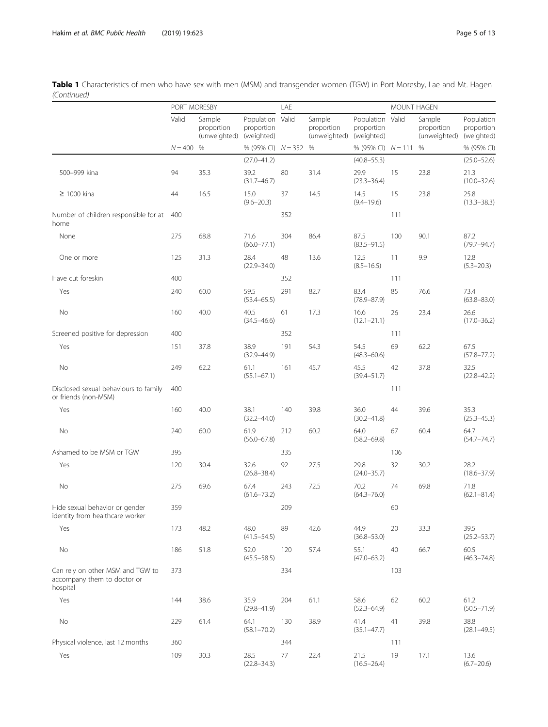|                                                                             | PORT MORESBY |                                      |                                              | LAE |                                      |                                              | <b>MOUNT HAGEN</b> |                                      |                                        |
|-----------------------------------------------------------------------------|--------------|--------------------------------------|----------------------------------------------|-----|--------------------------------------|----------------------------------------------|--------------------|--------------------------------------|----------------------------------------|
|                                                                             | Valid        | Sample<br>proportion<br>(unweighted) | Population Valid<br>proportion<br>(weighted) |     | Sample<br>proportion<br>(unweighted) | Population Valid<br>proportion<br>(weighted) |                    | Sample<br>proportion<br>(unweighted) | Population<br>proportion<br>(weighted) |
|                                                                             | $N = 400$    | %                                    | % (95% CI) $N = 352$ %                       |     |                                      | % (95% CI) $N = 111$                         |                    | $\%$                                 | % (95% CI)                             |
|                                                                             |              |                                      | $(27.0 - 41.2)$                              |     |                                      | $(40.8 - 55.3)$                              |                    |                                      | $(25.0 - 52.6)$                        |
| 500-999 kina                                                                | 94           | 35.3                                 | 39.2<br>$(31.7 - 46.7)$                      | 80  | 31.4                                 | 29.9<br>$(23.3 - 36.4)$                      | 15                 | 23.8                                 | 21.3<br>$(10.0 - 32.6)$                |
| $\geq$ 1000 kina                                                            | 44           | 16.5                                 | 15.0<br>$(9.6 - 20.3)$                       | 37  | 14.5                                 | 14.5<br>$(9.4 - 19.6)$                       | 15                 | 23.8                                 | 25.8<br>$(13.3 - 38.3)$                |
| Number of children responsible for at<br>home                               | 400          |                                      |                                              | 352 |                                      |                                              | 111                |                                      |                                        |
| None                                                                        | 275          | 68.8                                 | 71.6<br>$(66.0 - 77.1)$                      | 304 | 86.4                                 | 87.5<br>$(83.5 - 91.5)$                      | 100                | 90.1                                 | 87.2<br>$(79.7 - 94.7)$                |
| One or more                                                                 | 125          | 31.3                                 | 28.4<br>$(22.9 - 34.0)$                      | 48  | 13.6                                 | 12.5<br>$(8.5 - 16.5)$                       | 11                 | 9.9                                  | 12.8<br>$(5.3 - 20.3)$                 |
| Have cut foreskin                                                           | 400          |                                      |                                              | 352 |                                      |                                              | 111                |                                      |                                        |
| Yes                                                                         | 240          | 60.0                                 | 59.5<br>$(53.4 - 65.5)$                      | 291 | 82.7                                 | 83.4<br>$(78.9 - 87.9)$                      | 85                 | 76.6                                 | 73.4<br>$(63.8 - 83.0)$                |
| No                                                                          | 160          | 40.0                                 | 40.5<br>$(34.5 - 46.6)$                      | 61  | 17.3                                 | 16.6<br>$(12.1 - 21.1)$                      | 26                 | 23.4                                 | 26.6<br>$(17.0 - 36.2)$                |
| Screened positive for depression                                            | 400          |                                      |                                              | 352 |                                      |                                              | 111                |                                      |                                        |
| Yes                                                                         | 151          | 37.8                                 | 38.9<br>$(32.9 - 44.9)$                      | 191 | 54.3                                 | 54.5<br>$(48.3 - 60.6)$                      | 69                 | 62.2                                 | 67.5<br>$(57.8 - 77.2)$                |
| No                                                                          | 249          | 62.2                                 | 61.1<br>$(55.1 - 67.1)$                      | 161 | 45.7                                 | 45.5<br>$(39.4 - 51.7)$                      | 42                 | 37.8                                 | 32.5<br>$(22.8 - 42.2)$                |
| Disclosed sexual behaviours to family<br>or friends (non-MSM)               | 400          |                                      |                                              |     |                                      |                                              | 111                |                                      |                                        |
| Yes                                                                         | 160          | 40.0                                 | 38.1<br>$(32.2 - 44.0)$                      | 140 | 39.8                                 | 36.0<br>$(30.2 - 41.8)$                      | 44                 | 39.6                                 | 35.3<br>$(25.3 - 45.3)$                |
| No                                                                          | 240          | 60.0                                 | 61.9<br>$(56.0 - 67.8)$                      | 212 | 60.2                                 | 64.0<br>$(58.2 - 69.8)$                      | 67                 | 60.4                                 | 64.7<br>$(54.7 - 74.7)$                |
| Ashamed to be MSM or TGW                                                    | 395          |                                      |                                              | 335 |                                      |                                              | 106                |                                      |                                        |
| Yes                                                                         | 120          | 30.4                                 | 32.6<br>$(26.8 - 38.4)$                      | 92  | 27.5                                 | 29.8<br>$(24.0 - 35.7)$                      | 32                 | 30.2                                 | 28.2<br>$(18.6 - 37.9)$                |
| No                                                                          | 275          | 69.6                                 | 67.4<br>$(61.6 - 73.2)$                      | 243 | 72.5                                 | 70.2<br>$(64.3 - 76.0)$                      | 74                 | 69.8                                 | 71.8<br>$(62.1 - 81.4)$                |
| Hide sexual behavior or gender<br>identity from healthcare worker           | 359          |                                      |                                              | 209 |                                      |                                              | 60                 |                                      |                                        |
| Yes                                                                         | 173          | 48.2                                 | 48.0<br>$(41.5 - 54.5)$                      | 89  | 42.6                                 | 44.9<br>$(36.8 - 53.0)$                      | 20                 | 33.3                                 | 39.5<br>$(25.2 - 53.7)$                |
| No                                                                          | 186          | 51.8                                 | 52.0<br>$(45.5 - 58.5)$                      | 120 | 57.4                                 | 55.1<br>$(47.0 - 63.2)$                      | 40                 | 66.7                                 | 60.5<br>$(46.3 - 74.8)$                |
| Can rely on other MSM and TGW to<br>accompany them to doctor or<br>hospital | 373          |                                      |                                              | 334 |                                      |                                              | 103                |                                      |                                        |
| Yes                                                                         | 144          | 38.6                                 | 35.9<br>$(29.8 - 41.9)$                      | 204 | 61.1                                 | 58.6<br>$(52.3 - 64.9)$                      | 62                 | 60.2                                 | 61.2<br>$(50.5 - 71.9)$                |
| No                                                                          | 229          | 61.4                                 | 64.1<br>$(58.1 - 70.2)$                      | 130 | 38.9                                 | 41.4<br>$(35.1 - 47.7)$                      | 41                 | 39.8                                 | 38.8<br>$(28.1 - 49.5)$                |
| Physical violence, last 12 months                                           | 360          |                                      |                                              | 344 |                                      |                                              | 111                |                                      |                                        |
| Yes                                                                         | 109          | 30.3                                 | 28.5<br>$(22.8 - 34.3)$                      | 77  | 22.4                                 | 21.5<br>$(16.5 - 26.4)$                      | 19                 | 17.1                                 | 13.6<br>$(6.7 - 20.6)$                 |

Table 1 Characteristics of men who have sex with men (MSM) and transgender women (TGW) in Port Moresby, Lae and Mt. Hagen (Continued)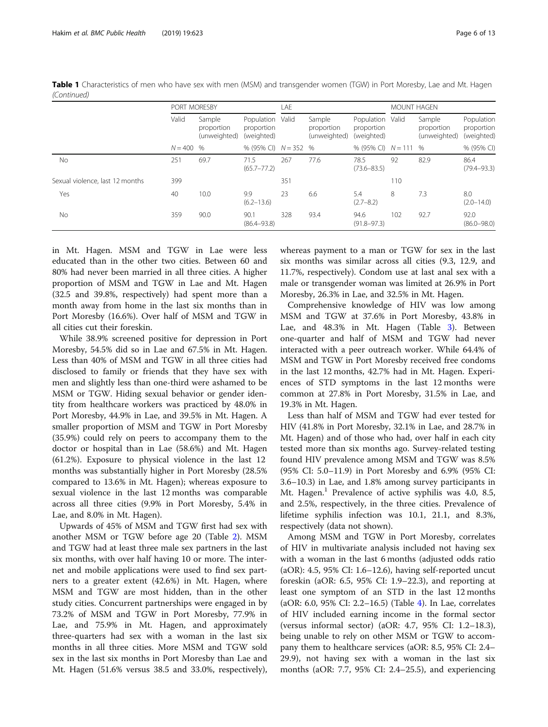|                                 |           | PORT MORESBY                         |                                        |       | LAE                                  |                                              |                                      | <b>MOUNT HAGEN</b> |                                        |  |
|---------------------------------|-----------|--------------------------------------|----------------------------------------|-------|--------------------------------------|----------------------------------------------|--------------------------------------|--------------------|----------------------------------------|--|
|                                 | Valid     | Sample<br>proportion<br>(unweighted) | Population<br>proportion<br>(weighted) | Valid | Sample<br>proportion<br>(unweighted) | Population Valid<br>proportion<br>(weighted) | Sample<br>proportion<br>(unweighted) |                    | Population<br>proportion<br>(weighted) |  |
|                                 | $N = 400$ | $\frac{0}{0}$                        | % (95% CI) $N = 352$ %                 |       |                                      | % (95% CI) $N = 111$ %                       |                                      |                    | % (95% CI)                             |  |
| No.                             | 251       | 69.7                                 | 71.5<br>$(65.7 - 77.2)$                | 267   | 77.6                                 | 78.5<br>$(73.6 - 83.5)$                      | 92                                   | 82.9               | 86.4<br>$(79.4 - 93.3)$                |  |
| Sexual violence, last 12 months | 399       |                                      |                                        | 351   |                                      |                                              | 110                                  |                    |                                        |  |
| Yes                             | 40        | 10.0                                 | 9.9<br>$(6.2 - 13.6)$                  | 23    | 6.6                                  | 5.4<br>$(2.7 - 8.2)$                         | 8                                    | 7.3                | 8.0<br>$(2.0 - 14.0)$                  |  |
| No                              | 359       | 90.0                                 | 90.1<br>$(86.4 - 93.8)$                | 328   | 93.4                                 | 94.6<br>$(91.8 - 97.3)$                      | 102                                  | 92.7               | 92.0<br>$(86.0 - 98.0)$                |  |

Table 1 Characteristics of men who have sex with men (MSM) and transgender women (TGW) in Port Moresby, Lae and Mt. Hagen (Continued)

in Mt. Hagen. MSM and TGW in Lae were less educated than in the other two cities. Between 60 and 80% had never been married in all three cities. A higher proportion of MSM and TGW in Lae and Mt. Hagen (32.5 and 39.8%, respectively) had spent more than a month away from home in the last six months than in Port Moresby (16.6%). Over half of MSM and TGW in all cities cut their foreskin.

While 38.9% screened positive for depression in Port Moresby, 54.5% did so in Lae and 67.5% in Mt. Hagen. Less than 40% of MSM and TGW in all three cities had disclosed to family or friends that they have sex with men and slightly less than one-third were ashamed to be MSM or TGW. Hiding sexual behavior or gender identity from healthcare workers was practiced by 48.0% in Port Moresby, 44.9% in Lae, and 39.5% in Mt. Hagen. A smaller proportion of MSM and TGW in Port Moresby (35.9%) could rely on peers to accompany them to the doctor or hospital than in Lae (58.6%) and Mt. Hagen (61.2%). Exposure to physical violence in the last 12 months was substantially higher in Port Moresby (28.5% compared to 13.6% in Mt. Hagen); whereas exposure to sexual violence in the last 12 months was comparable across all three cities (9.9% in Port Moresby, 5.4% in Lae, and 8.0% in Mt. Hagen).

Upwards of 45% of MSM and TGW first had sex with another MSM or TGW before age 20 (Table [2\)](#page-6-0). MSM and TGW had at least three male sex partners in the last six months, with over half having 10 or more. The internet and mobile applications were used to find sex partners to a greater extent (42.6%) in Mt. Hagen, where MSM and TGW are most hidden, than in the other study cities. Concurrent partnerships were engaged in by 73.2% of MSM and TGW in Port Moresby, 77.9% in Lae, and 75.9% in Mt. Hagen, and approximately three-quarters had sex with a woman in the last six months in all three cities. More MSM and TGW sold sex in the last six months in Port Moresby than Lae and Mt. Hagen (51.6% versus 38.5 and 33.0%, respectively), whereas payment to a man or TGW for sex in the last six months was similar across all cities (9.3, 12.9, and 11.7%, respectively). Condom use at last anal sex with a male or transgender woman was limited at 26.9% in Port Moresby, 26.3% in Lae, and 32.5% in Mt. Hagen.

Comprehensive knowledge of HIV was low among MSM and TGW at 37.6% in Port Moresby, 43.8% in Lae, and 48.3% in Mt. Hagen (Table [3](#page-8-0)). Between one-quarter and half of MSM and TGW had never interacted with a peer outreach worker. While 64.4% of MSM and TGW in Port Moresby received free condoms in the last 12 months, 42.7% had in Mt. Hagen. Experiences of STD symptoms in the last 12 months were common at 27.8% in Port Moresby, 31.5% in Lae, and 19.3% in Mt. Hagen.

Less than half of MSM and TGW had ever tested for HIV (41.8% in Port Moresby, 32.1% in Lae, and 28.7% in Mt. Hagen) and of those who had, over half in each city tested more than six months ago. Survey-related testing found HIV prevalence among MSM and TGW was 8.5% (95% CI: 5.0–11.9) in Port Moresby and 6.9% (95% CI: 3.6–10.3) in Lae, and 1.8% among survey participants in Mt. Hagen.<sup>1</sup> Prevalence of active syphilis was 4.0, 8.5, and 2.5%, respectively, in the three cities. Prevalence of lifetime syphilis infection was 10.1, 21.1, and 8.3%, respectively (data not shown).

Among MSM and TGW in Port Moresby, correlates of HIV in multivariate analysis included not having sex with a woman in the last 6 months (adjusted odds ratio (aOR): 4.5, 95% CI: 1.6–12.6), having self-reported uncut foreskin (aOR: 6.5, 95% CI: 1.9–22.3), and reporting at least one symptom of an STD in the last 12 months (aOR: 6.0, 95% CI: 2.2–16.5) (Table [4\)](#page-9-0). In Lae, correlates of HIV included earning income in the formal sector (versus informal sector) (aOR: 4.7, 95% CI: 1.2–18.3), being unable to rely on other MSM or TGW to accompany them to healthcare services (aOR: 8.5, 95% CI: 2.4– 29.9), not having sex with a woman in the last six months (aOR: 7.7, 95% CI: 2.4–25.5), and experiencing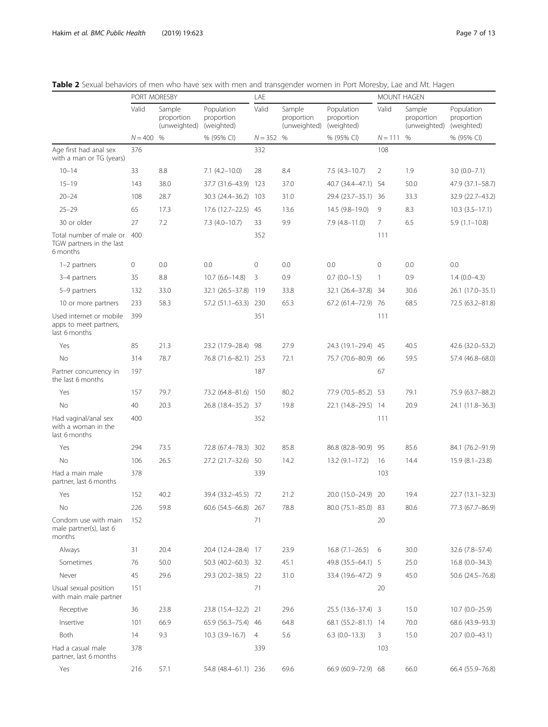partner, last 6 months

|                                                                    | PORT MORESBY |                                      |                                        | LAE            |                                      |                                        | $\overline{\phantom{a}}$<br>MOUNT HAGEN |                                      |                                        |
|--------------------------------------------------------------------|--------------|--------------------------------------|----------------------------------------|----------------|--------------------------------------|----------------------------------------|-----------------------------------------|--------------------------------------|----------------------------------------|
|                                                                    | Valid        | Sample<br>proportion<br>(unweighted) | Population<br>proportion<br>(weighted) | Valid          | Sample<br>proportion<br>(unweighted) | Population<br>proportion<br>(weighted) | Valid                                   | Sample<br>proportion<br>(unweighted) | Population<br>proportion<br>(weighted) |
|                                                                    | $N = 400$    | %                                    | % (95% CI)                             | $N = 352$ %    |                                      | % (95% CI)                             | $N = 111$                               | %                                    | % (95% CI)                             |
| Age first had anal sex<br>with a man or TG (years)                 | 376          |                                      |                                        | 332            |                                      |                                        | 108                                     |                                      |                                        |
| $10 - 14$                                                          | 33           | 8.8                                  | $7.1(4.2 - 10.0)$                      | 28             | 8.4                                  | $7.5(4.3-10.7)$                        | 2                                       | 1.9                                  | $3.0(0.0 - 7.1)$                       |
| $15 - 19$                                                          | 143          | 38.0                                 | 37.7 (31.6-43.9) 123                   |                | 37.0                                 | 40.7 (34.4-47.1) 54                    |                                         | 50.0                                 | 47.9 (37.1-58.7)                       |
| $20 - 24$                                                          | 108          | 28.7                                 | 30.3 (24.4-36.2)                       | 103            | 31.0                                 | 29.4 (23.7-35.1) 36                    |                                         | 33.3                                 | 32.9 (22.7-43.2)                       |
| $25 - 29$                                                          | 65           | 17.3                                 | 17.6 (12.7-22.5) 45                    |                | 13.6                                 | 14.5 (9.8-19.0)                        | 9                                       | 8.3                                  | $10.3 (3.5 - 17.1)$                    |
| 30 or older                                                        | 27           | 7.2                                  | $7.3(4.0-10.7)$                        | 33             | 9.9                                  | $7.9(4.8 - 11.0)$                      | $\overline{7}$                          | 6.5                                  | $5.9(1.1 - 10.8)$                      |
| Total number of male or<br>TGW partners in the last<br>6 months    | 400          |                                      |                                        | 352            |                                      |                                        | 111                                     |                                      |                                        |
| 1-2 partners                                                       | 0            | 0.0                                  | 0.0                                    | $\mathbf 0$    | 0.0                                  | 0.0                                    | 0                                       | 0.0                                  | 0.0                                    |
| 3-4 partners                                                       | 35           | 8.8                                  | $10.7(6.6 - 14.8)$                     | 3              | 0.9                                  | $0.7(0.0-1.5)$                         | 1                                       | 0.9                                  | $1.4(0.0-4.3)$                         |
| 5-9 partners                                                       | 132          | 33.0                                 | 32.1 (26.5-37.8) 119                   |                | 33.8                                 | 32.1 (26.4-37.8)                       | 34                                      | 30.6                                 | 26.1 (17.0-35.1)                       |
| 10 or more partners                                                | 233          | 58.3                                 | 57.2 (51.1-63.3) 230                   |                | 65.3                                 | 67.2 (61.4–72.9)                       | 76                                      | 68.5                                 | 72.5 (63.2-81.8)                       |
| Used internet or mobile<br>apps to meet partners,<br>last 6 months | 399          |                                      |                                        | 351            |                                      |                                        | 111                                     |                                      |                                        |
| Yes                                                                | 85           | 21.3                                 | 23.2 (17.9-28.4)                       | 98             | 27.9                                 | 24.3 (19.1-29.4)                       | 45                                      | 40.5                                 | 42.6 (32.0-53.2)                       |
| No                                                                 | 314          | 78.7                                 | 76.8 (71.6-82.1) 253                   |                | 72.1                                 | 75.7 (70.6-80.9)                       | 66                                      | 59.5                                 | 57.4 (46.8-68.0)                       |
| Partner concurrency in<br>the last 6 months                        | 197          |                                      |                                        | 187            |                                      |                                        | 67                                      |                                      |                                        |
| Yes                                                                | 157          | 79.7                                 | 73.2 (64.8-81.6) 150                   |                | 80.2                                 | 77.9 (70.5-85.2)                       | 53                                      | 79.1                                 | 75.9 (63.7-88.2)                       |
| No                                                                 | 40           | 20.3                                 | 26.8 (18.4-35.2) 37                    |                | 19.8                                 | 22.1 (14.8-29.5) 14                    |                                         | 20.9                                 | 24.1 (11.8-36.3)                       |
| Had vaginal/anal sex<br>with a woman in the<br>last 6 months       | 400          |                                      |                                        | 352            |                                      |                                        | 111                                     |                                      |                                        |
| Yes                                                                | 294          | 73.5                                 | 72.8 (67.4-78.3) 302                   |                | 85.8                                 | 86.8 (82.8-90.9)                       | -95                                     | 85.6                                 | 84.1 (76.2-91.9)                       |
| No                                                                 | 106          | 26.5                                 | 27.2 (21.7-32.6) 50                    |                | 14.2                                 | $13.2(9.1-17.2)$                       | 16                                      | 14.4                                 | $15.9(8.1 - 23.8)$                     |
| Had a main male<br>partner, last 6 months                          | 378          |                                      |                                        | 339            |                                      |                                        | 103                                     |                                      |                                        |
| Yes                                                                | 152          | 40.2                                 | 39.4 (33.2-45.5) 72                    |                | 21.2                                 | 20.0 (15.0-24.9) 20                    |                                         | 19.4                                 | $22.7(13.1-32.3)$                      |
| No                                                                 | 226          | 59.8                                 | 60.6 (54.5-66.8) 267                   |                | 78.8                                 | 80.0 (75.1-85.0)                       | 83                                      | 80.6                                 | 77.3 (67.7-86.9)                       |
| Condom use with main<br>male partner(s), last 6<br>months          | 152          |                                      |                                        | 71             |                                      |                                        | 20                                      |                                      |                                        |
| Always                                                             | 31           | 20.4                                 | 20.4 (12.4-28.4) 17                    |                | 23.9                                 | $16.8(7.1-26.5)$                       | 6                                       | 30.0                                 | 32.6 (7.8-57.4)                        |
| Sometimes                                                          | 76           | 50.0                                 | 50.3 (40.2-60.3) 32                    |                | 45.1                                 | 49.8 (35.5-64.1) 5                     |                                         | 25.0                                 | $16.8(0.0 - 34.3)$                     |
| Never                                                              | 45           | 29.6                                 | 29.3 (20.2-38.5) 22                    |                | 31.0                                 | 33.4 (19.6-47.2) 9                     |                                         | 45.0                                 | 50.6 (24.5 - 76.8)                     |
| Usual sexual position<br>with main male partner                    | 151          |                                      |                                        | 71             |                                      |                                        | 20                                      |                                      |                                        |
| Receptive                                                          | 36           | 23.8                                 | 23.8 (15.4-32.2) 21                    |                | 29.6                                 | 25.5 (13.6-37.4) 3                     |                                         | 15.0                                 | $10.7(0.0-25.9)$                       |
| Insertive                                                          | 101          | 66.9                                 | 65.9 (56.3-75.4) 46                    |                | 64.8                                 | 68.1 (55.2-81.1) 14                    |                                         | 70.0                                 | 68.6 (43.9 - 93.3)                     |
| Both                                                               | 14           | 9.3                                  | $10.3(3.9 - 16.7)$                     | $\overline{4}$ | 5.6                                  | $6.3$ (0.0-13.3)                       | 3                                       | 15.0                                 | 20.7 (0.0-43.1)                        |
| Had a casual male                                                  | 378          |                                      |                                        | 339            |                                      |                                        | 103                                     |                                      |                                        |

Yes 216 57.1 54.8 (48.4–61.1) 236 69.6 66.9 (60.9–72.9) 68 66.0 66.4 (55.9–76.8)

<span id="page-6-0"></span>Table 2 Sexual behaviors of men who have sex with men and transgender women in Port Moresby, Lae and Mt. Hagen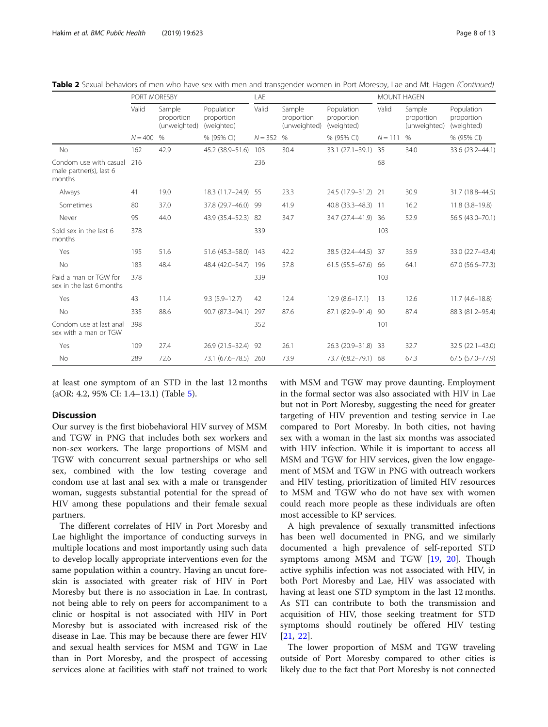|                                                             | PORT MORESBY |                                      |                                        | LAE       |                                      |                                        | <b>MOUNT HAGEN</b> |                                      |                                        |
|-------------------------------------------------------------|--------------|--------------------------------------|----------------------------------------|-----------|--------------------------------------|----------------------------------------|--------------------|--------------------------------------|----------------------------------------|
|                                                             | Valid        | Sample<br>proportion<br>(unweighted) | Population<br>proportion<br>(weighted) | Valid     | Sample<br>proportion<br>(unweighted) | Population<br>proportion<br>(weighted) | Valid              | Sample<br>proportion<br>(unweighted) | Population<br>proportion<br>(weighted) |
|                                                             | $N = 400$    | $\%$                                 | % (95% CI)                             | $N = 352$ | $\%$                                 | % (95% CI)                             | $N = 111$          | $\%$                                 | % (95% CI)                             |
| <b>No</b>                                                   | 162          | 42.9                                 | 45.2 (38.9-51.6)                       | 103       | 30.4                                 | 33.1 (27.1-39.1)                       | 35                 | 34.0                                 | 33.6 (23.2-44.1)                       |
| Condom use with casual<br>male partner(s), last 6<br>months | 216          |                                      |                                        | 236       |                                      |                                        | 68                 |                                      |                                        |
| Always                                                      | 41           | 19.0                                 | 18.3 (11.7-24.9) 55                    |           | 23.3                                 | 24.5 (17.9-31.2) 21                    |                    | 30.9                                 | 31.7 (18.8-44.5)                       |
| Sometimes                                                   | 80           | 37.0                                 | 37.8 (29.7-46.0) 99                    |           | 41.9                                 | 40.8 (33.3-48.3)                       | $-11$              | 16.2                                 | $11.8$ $(3.8-19.8)$                    |
| Never                                                       | 95           | 44.0                                 | 43.9 (35.4-52.3) 82                    |           | 34.7                                 | 34.7 (27.4-41.9)                       | 36                 | 52.9                                 | 56.5 (43.0-70.1)                       |
| Sold sex in the last 6<br>months                            | 378          |                                      |                                        | 339       |                                      |                                        | 103                |                                      |                                        |
| Yes                                                         | 195          | 51.6                                 | $51.6(45.3 - 58.0)$                    | 143       | 42.2                                 | 38.5 (32.4-44.5)                       | 37                 | 35.9                                 | 33.0 (22.7-43.4)                       |
| No                                                          | 183          | 48.4                                 | 48.4 (42.0-54.7)                       | 196       | 57.8                                 | $61.5(55.5-67.6)$                      | 66                 | 64.1                                 | 67.0 (56.6-77.3)                       |
| Paid a man or TGW for<br>sex in the last 6 months           | 378          |                                      |                                        | 339       |                                      |                                        | 103                |                                      |                                        |
| Yes                                                         | 43           | 11.4                                 | $9.3(5.9 - 12.7)$                      | 42        | 12.4                                 | $12.9(8.6 - 17.1)$                     | 13                 | 12.6                                 | $11.7(4.6 - 18.8)$                     |
| <b>No</b>                                                   | 335          | 88.6                                 | 90.7 (87.3-94.1)                       | 297       | 87.6                                 | 87.1 (82.9-91.4)                       | 90                 | 87.4                                 | 88.3 (81.2-95.4)                       |
| Condom use at last anal<br>sex with a man or TGW            | 398          |                                      |                                        | 352       |                                      |                                        | 101                |                                      |                                        |
| Yes                                                         | 109          | 27.4                                 | 26.9 (21.5-32.4) 92                    |           | 26.1                                 | 26.3 (20.9-31.8)                       | -33                | 32.7                                 | 32.5 (22.1-43.0)                       |
| No                                                          | 289          | 72.6                                 | 73.1 (67.6-78.5) 260                   |           | 73.9                                 | 73.7 (68.2-79.1) 68                    |                    | 67.3                                 | 67.5 (57.0-77.9)                       |

|  |  | Table 2 Sexual behaviors of men who have sex with men and transgender women in Port Moresby, Lae and Mt. Hagen (Continued) |  |  |
|--|--|----------------------------------------------------------------------------------------------------------------------------|--|--|
|  |  |                                                                                                                            |  |  |

at least one symptom of an STD in the last 12 months (aOR: 4.2, 95% CI: 1.4–13.1) (Table [5\)](#page-10-0).

## **Discussion**

Our survey is the first biobehavioral HIV survey of MSM and TGW in PNG that includes both sex workers and non-sex workers. The large proportions of MSM and TGW with concurrent sexual partnerships or who sell sex, combined with the low testing coverage and condom use at last anal sex with a male or transgender woman, suggests substantial potential for the spread of HIV among these populations and their female sexual partners.

The different correlates of HIV in Port Moresby and Lae highlight the importance of conducting surveys in multiple locations and most importantly using such data to develop locally appropriate interventions even for the same population within a country. Having an uncut foreskin is associated with greater risk of HIV in Port Moresby but there is no association in Lae. In contrast, not being able to rely on peers for accompaniment to a clinic or hospital is not associated with HIV in Port Moresby but is associated with increased risk of the disease in Lae. This may be because there are fewer HIV and sexual health services for MSM and TGW in Lae than in Port Moresby, and the prospect of accessing services alone at facilities with staff not trained to work

with MSM and TGW may prove daunting. Employment in the formal sector was also associated with HIV in Lae but not in Port Moresby, suggesting the need for greater targeting of HIV prevention and testing service in Lae compared to Port Moresby. In both cities, not having sex with a woman in the last six months was associated with HIV infection. While it is important to access all MSM and TGW for HIV services, given the low engagement of MSM and TGW in PNG with outreach workers and HIV testing, prioritization of limited HIV resources to MSM and TGW who do not have sex with women could reach more people as these individuals are often most accessible to KP services.

A high prevalence of sexually transmitted infections has been well documented in PNG, and we similarly documented a high prevalence of self-reported STD symptoms among MSM and TGW [[19,](#page-12-0) [20](#page-12-0)]. Though active syphilis infection was not associated with HIV, in both Port Moresby and Lae, HIV was associated with having at least one STD symptom in the last 12 months. As STI can contribute to both the transmission and acquisition of HIV, those seeking treatment for STD symptoms should routinely be offered HIV testing [[21,](#page-12-0) [22](#page-12-0)].

The lower proportion of MSM and TGW traveling outside of Port Moresby compared to other cities is likely due to the fact that Port Moresby is not connected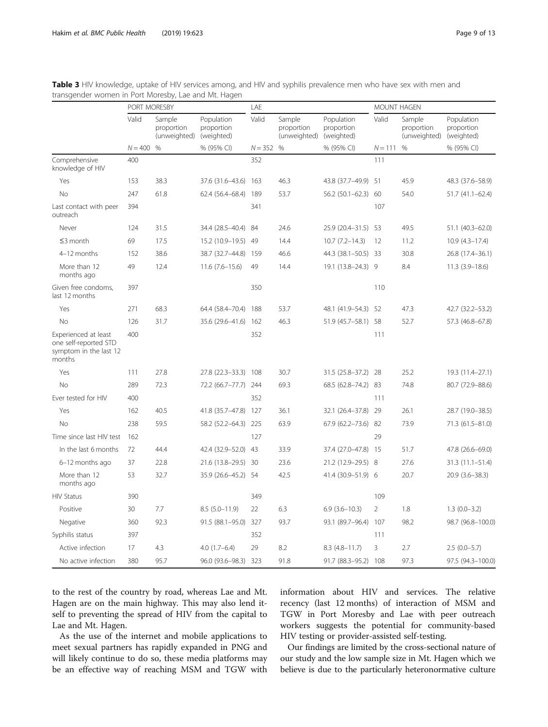|                                                                                   | PORT MORESBY |                                      |                                        | LAE         |                                      |                                        | <b>MOUNT HAGEN</b> |                                      |                                        |
|-----------------------------------------------------------------------------------|--------------|--------------------------------------|----------------------------------------|-------------|--------------------------------------|----------------------------------------|--------------------|--------------------------------------|----------------------------------------|
|                                                                                   | Valid        | Sample<br>proportion<br>(unweighted) | Population<br>proportion<br>(weighted) | Valid       | Sample<br>proportion<br>(unweighted) | Population<br>proportion<br>(weighted) | Valid              | Sample<br>proportion<br>(unweighted) | Population<br>proportion<br>(weighted) |
|                                                                                   | $N = 400$    | $\%$                                 | % (95% CI)                             | $N = 352$ % |                                      | % (95% CI)                             | $N = 111$ %        |                                      | % (95% CI)                             |
| Comprehensive<br>knowledge of HIV                                                 | 400          |                                      |                                        | 352         |                                      |                                        | 111                |                                      |                                        |
| Yes                                                                               | 153          | 38.3                                 | 37.6 (31.6-43.6)                       | 163         | 46.3                                 | 43.8 (37.7-49.9) 51                    |                    | 45.9                                 | 48.3 (37.6-58.9)                       |
| <b>No</b>                                                                         | 247          | 61.8                                 | 62.4 (56.4-68.4)                       | 189         | 53.7                                 | $56.2(50.1 - 62.3)$                    | 60                 | 54.0                                 | $51.7(41.1 - 62.4)$                    |
| Last contact with peer<br>outreach                                                | 394          |                                      |                                        | 341         |                                      |                                        | 107                |                                      |                                        |
| Never                                                                             | 124          | 31.5                                 | 34.4 (28.5-40.4)                       | 84          | 24.6                                 | 25.9 (20.4-31.5) 53                    |                    | 49.5                                 | 51.1 (40.3-62.0)                       |
| $\leq$ 3 month                                                                    | 69           | 17.5                                 | 15.2 (10.9-19.5) 49                    |             | 14.4                                 | $10.7 (7.2 - 14.3)$                    | 12                 | 11.2                                 | $10.9(4.3 - 17.4)$                     |
| 4-12 months                                                                       | 152          | 38.6                                 | 38.7 (32.7-44.8) 159                   |             | 46.6                                 | 44.3 (38.1-50.5) 33                    |                    | 30.8                                 | 26.8 (17.4-36.1)                       |
| More than 12<br>months ago                                                        | 49           | 12.4                                 | $11.6(7.6 - 15.6)$                     | 49          | 14.4                                 | 19.1 (13.8-24.3) 9                     |                    | 8.4                                  | $11.3(3.9 - 18.6)$                     |
| Given free condoms,<br>last 12 months                                             | 397          |                                      |                                        | 350         |                                      |                                        | 110                |                                      |                                        |
| Yes                                                                               | 271          | 68.3                                 | 64.4 (58.4-70.4) 188                   |             | 53.7                                 | 48.1 (41.9-54.3) 52                    |                    | 47.3                                 | 42.7 (32.2-53.2)                       |
| No                                                                                | 126          | 31.7                                 | 35.6 (29.6-41.6)                       | 162         | 46.3                                 | 51.9 (45.7-58.1) 58                    |                    | 52.7                                 | 57.3 (46.8-67.8)                       |
| Experienced at least<br>one self-reported STD<br>symptom in the last 12<br>months | 400          |                                      |                                        | 352         |                                      |                                        | 111                |                                      |                                        |
| Yes                                                                               | 111          | 27.8                                 | 27.8 (22.3-33.3) 108                   |             | 30.7                                 | 31.5 (25.8-37.2) 28                    |                    | 25.2                                 | 19.3 (11.4-27.1)                       |
| <b>No</b>                                                                         | 289          | 72.3                                 | 72.2 (66.7-77.7)                       | 244         | 69.3                                 | 68.5 (62.8-74.2) 83                    |                    | 74.8                                 | 80.7 (72.9-88.6)                       |
| Ever tested for HIV                                                               | 400          |                                      |                                        | 352         |                                      |                                        | 111                |                                      |                                        |
| Yes                                                                               | 162          | 40.5                                 | 41.8 (35.7-47.8) 127                   |             | 36.1                                 | 32.1 (26.4-37.8) 29                    |                    | 26.1                                 | 28.7 (19.0-38.5)                       |
| No                                                                                | 238          | 59.5                                 | 58.2 (52.2-64.3)                       | 225         | 63.9                                 | 67.9 (62.2-73.6) 82                    |                    | 73.9                                 | 71.3 (61.5-81.0)                       |
| Time since last HIV test                                                          | 162          |                                      |                                        | 127         |                                      |                                        | 29                 |                                      |                                        |
| In the last 6 months                                                              | 72           | 44.4                                 | 42.4 (32.9 - 52.0)                     | 43          | 33.9                                 | 37.4 (27.0-47.8) 15                    |                    | 51.7                                 | 47.8 (26.6-69.0)                       |
| 6-12 months ago                                                                   | 37           | 22.8                                 | 21.6 (13.8-29.5) 30                    |             | 23.6                                 | 21.2 (12.9-29.5) 8                     |                    | 27.6                                 | $31.3(11.1 - 51.4)$                    |
| More than 12<br>months ago                                                        | 53           | 32.7                                 | 35.9 (26.6-45.2) 54                    |             | 42.5                                 | 41.4 (30.9-51.9) 6                     |                    | 20.7                                 | $20.9(3.6 - 38.3)$                     |
| <b>HIV Status</b>                                                                 | 390          |                                      |                                        | 349         |                                      |                                        | 109                |                                      |                                        |
| Positive                                                                          | 30           | 7.7                                  | $8.5(5.0-11.9)$                        | 22          | 6.3                                  | $6.9(3.6-10.3)$                        | $\overline{2}$     | 1.8                                  | $1.3(0.0-3.2)$                         |
| Negative                                                                          | 360          | 92.3                                 | $91.5(88.1 - 95.0)$                    | 327         | 93.7                                 | 93.1 (89.7-96.4) 107                   |                    | 98.2                                 | 98.7 (96.8-100.0)                      |
| Syphilis status                                                                   | 397          |                                      |                                        | 352         |                                      |                                        | 111                |                                      |                                        |
| Active infection                                                                  | 17           | 4.3                                  | $4.0(1.7-6.4)$                         | 29          | 8.2                                  | $8.3(4.8 - 11.7)$                      | 3                  | 2.7                                  | $2.5(0.0-5.7)$                         |
| No active infection                                                               | 380          | 95.7                                 | 96.0 (93.6-98.3) 323                   |             | 91.8                                 | 91.7 (88.3-95.2) 108                   |                    | 97.3                                 | 97.5 (94.3-100.0)                      |

<span id="page-8-0"></span>Table 3 HIV knowledge, uptake of HIV services among, and HIV and syphilis prevalence men who have sex with men and transgender women in Port Moresby, Lae and Mt. Hagen

to the rest of the country by road, whereas Lae and Mt. Hagen are on the main highway. This may also lend itself to preventing the spread of HIV from the capital to Lae and Mt. Hagen.

As the use of the internet and mobile applications to meet sexual partners has rapidly expanded in PNG and will likely continue to do so, these media platforms may be an effective way of reaching MSM and TGW with information about HIV and services. The relative recency (last 12 months) of interaction of MSM and TGW in Port Moresby and Lae with peer outreach workers suggests the potential for community-based HIV testing or provider-assisted self-testing.

Our findings are limited by the cross-sectional nature of our study and the low sample size in Mt. Hagen which we believe is due to the particularly heteronormative culture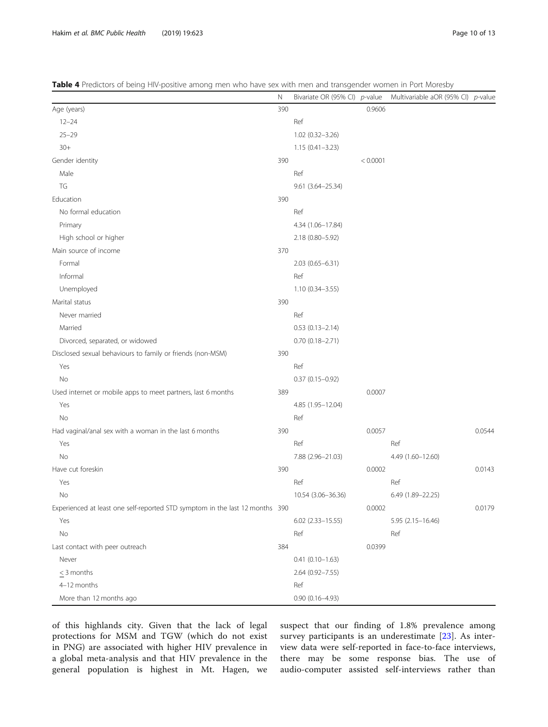<span id="page-9-0"></span>Table 4 Predictors of being HIV-positive among men who have sex with men and transgender women in Port Moresby

|                                                                              | Ν   | Bivariate OR (95% CI) p-value |          | Multivariable aOR (95% CI) p-value |        |
|------------------------------------------------------------------------------|-----|-------------------------------|----------|------------------------------------|--------|
| Age (years)                                                                  | 390 |                               | 0.9606   |                                    |        |
| $12 - 24$                                                                    |     | Ref                           |          |                                    |        |
| $25 - 29$                                                                    |     | 1.02 (0.32-3.26)              |          |                                    |        |
| $30+$                                                                        |     | $1.15(0.41 - 3.23)$           |          |                                    |        |
| Gender identity                                                              | 390 |                               | < 0.0001 |                                    |        |
| Male                                                                         |     | Ref                           |          |                                    |        |
| TG                                                                           |     | 9.61 (3.64-25.34)             |          |                                    |        |
| Education                                                                    | 390 |                               |          |                                    |        |
| No formal education                                                          |     | Ref                           |          |                                    |        |
| Primary                                                                      |     | 4.34 (1.06-17.84)             |          |                                    |        |
| High school or higher                                                        |     | 2.18 (0.80-5.92)              |          |                                    |        |
| Main source of income                                                        | 370 |                               |          |                                    |        |
| Formal                                                                       |     | $2.03(0.65 - 6.31)$           |          |                                    |        |
| Informal                                                                     |     | Ref                           |          |                                    |        |
| Unemployed                                                                   |     | $1.10(0.34 - 3.55)$           |          |                                    |        |
| Marital status                                                               | 390 |                               |          |                                    |        |
| Never married                                                                |     | Ref                           |          |                                    |        |
| Married                                                                      |     | $0.53(0.13 - 2.14)$           |          |                                    |        |
| Divorced, separated, or widowed                                              |     | $0.70(0.18 - 2.71)$           |          |                                    |        |
| Disclosed sexual behaviours to family or friends (non-MSM)                   | 390 |                               |          |                                    |        |
| Yes                                                                          |     | Ref                           |          |                                    |        |
| No                                                                           |     | $0.37(0.15 - 0.92)$           |          |                                    |        |
| Used internet or mobile apps to meet partners, last 6 months                 | 389 |                               | 0.0007   |                                    |        |
| Yes                                                                          |     | 4.85 (1.95-12.04)             |          |                                    |        |
| No                                                                           |     | Ref                           |          |                                    |        |
| Had vaginal/anal sex with a woman in the last 6 months                       | 390 |                               | 0.0057   |                                    | 0.0544 |
| Yes                                                                          |     | Ref                           |          | Ref                                |        |
| No                                                                           |     | 7.88 (2.96-21.03)             |          | 4.49 (1.60-12.60)                  |        |
| Have cut foreskin                                                            | 390 |                               | 0.0002   |                                    | 0.0143 |
| Yes                                                                          |     | Ref                           |          | Ref                                |        |
| No                                                                           |     | 10.54 (3.06-36.36)            |          | 6.49 (1.89-22.25)                  |        |
| Experienced at least one self-reported STD symptom in the last 12 months 390 |     |                               | 0.0002   |                                    | 0.0179 |
| Yes                                                                          |     | $6.02$ $(2.33 - 15.55)$       |          | 5.95 (2.15-16.46)                  |        |
| No                                                                           |     | Ref                           |          | Ref                                |        |
| Last contact with peer outreach                                              | 384 |                               | 0.0399   |                                    |        |
| Never                                                                        |     | $0.41(0.10-1.63)$             |          |                                    |        |
| $\leq$ 3 months                                                              |     | 2.64 (0.92-7.55)              |          |                                    |        |
| 4-12 months                                                                  |     | Ref                           |          |                                    |        |
| More than 12 months ago                                                      |     | $0.90(0.16 - 4.93)$           |          |                                    |        |

of this highlands city. Given that the lack of legal protections for MSM and TGW (which do not exist in PNG) are associated with higher HIV prevalence in a global meta-analysis and that HIV prevalence in the general population is highest in Mt. Hagen, we

suspect that our finding of 1.8% prevalence among survey participants is an underestimate [[23\]](#page-12-0). As interview data were self-reported in face-to-face interviews, there may be some response bias. The use of audio-computer assisted self-interviews rather than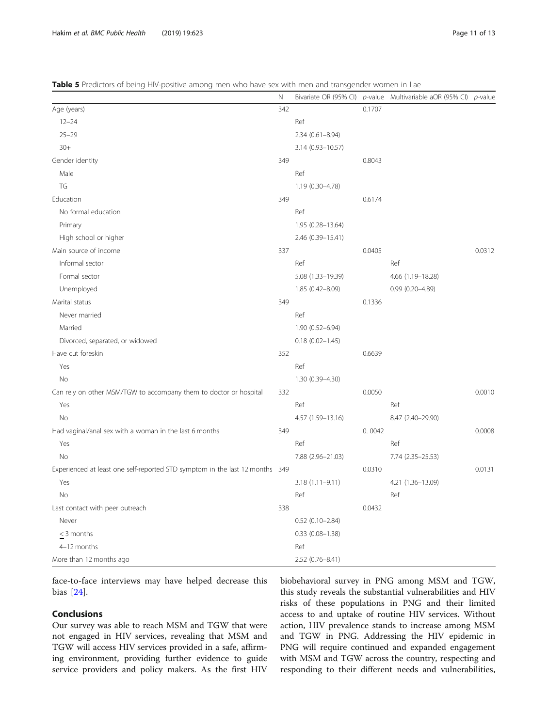<span id="page-10-0"></span>Table 5 Predictors of being HIV-positive among men who have sex with men and transgender women in Lae

|                                                                              | $\hbox{N}$ |                        |        | Bivariate OR (95% CI) p-value Multivariable aOR (95% CI) p-value |        |
|------------------------------------------------------------------------------|------------|------------------------|--------|------------------------------------------------------------------|--------|
| Age (years)                                                                  | 342        |                        | 0.1707 |                                                                  |        |
| $12 - 24$                                                                    |            | Ref                    |        |                                                                  |        |
| $25 - 29$                                                                    |            | $2.34(0.61 - 8.94)$    |        |                                                                  |        |
| $30+$                                                                        |            | 3.14 (0.93-10.57)      |        |                                                                  |        |
| Gender identity                                                              | 349        |                        | 0.8043 |                                                                  |        |
| Male                                                                         |            | Ref                    |        |                                                                  |        |
| TG                                                                           |            | 1.19 (0.30-4.78)       |        |                                                                  |        |
| Education                                                                    | 349        |                        | 0.6174 |                                                                  |        |
| No formal education                                                          |            | Ref                    |        |                                                                  |        |
| Primary                                                                      |            | 1.95 (0.28-13.64)      |        |                                                                  |        |
| High school or higher                                                        |            | 2.46 (0.39-15.41)      |        |                                                                  |        |
| Main source of income                                                        | 337        |                        | 0.0405 |                                                                  | 0.0312 |
| Informal sector                                                              |            | Ref                    |        | Ref                                                              |        |
| Formal sector                                                                |            | 5.08 (1.33-19.39)      |        | 4.66 (1.19-18.28)                                                |        |
| Unemployed                                                                   |            | 1.85 (0.42-8.09)       |        | $0.99(0.20 - 4.89)$                                              |        |
| Marital status                                                               | 349        |                        | 0.1336 |                                                                  |        |
| Never married                                                                |            | Ref                    |        |                                                                  |        |
| Married                                                                      |            | 1.90 (0.52-6.94)       |        |                                                                  |        |
| Divorced, separated, or widowed                                              |            | $0.18(0.02 - 1.45)$    |        |                                                                  |        |
| Have cut foreskin                                                            | 352        |                        | 0.6639 |                                                                  |        |
| Yes                                                                          |            | Ref                    |        |                                                                  |        |
| No                                                                           |            | 1.30 (0.39-4.30)       |        |                                                                  |        |
| Can rely on other MSM/TGW to accompany them to doctor or hospital            | 332        |                        | 0.0050 |                                                                  | 0.0010 |
| Yes                                                                          |            | Ref                    |        | Ref                                                              |        |
| <b>No</b>                                                                    |            | 4.57 (1.59-13.16)      |        | 8.47 (2.40-29.90)                                                |        |
| Had vaginal/anal sex with a woman in the last 6 months                       | 349        |                        | 0.0042 |                                                                  | 0.0008 |
| Yes                                                                          |            | Ref                    |        | Ref                                                              |        |
| <b>No</b>                                                                    |            | 7.88 (2.96-21.03)      |        | 7.74 (2.35-25.53)                                                |        |
| Experienced at least one self-reported STD symptom in the last 12 months 349 |            |                        | 0.0310 |                                                                  | 0.0131 |
| Yes                                                                          |            | $3.18(1.11 - 9.11)$    |        | 4.21 (1.36-13.09)                                                |        |
| No                                                                           |            | Ref                    |        | Ref                                                              |        |
| Last contact with peer outreach                                              | 338        |                        | 0.0432 |                                                                  |        |
| Never                                                                        |            | $0.52(0.10-2.84)$      |        |                                                                  |        |
| $\leq$ 3 months                                                              |            | $0.33$ $(0.08 - 1.38)$ |        |                                                                  |        |
| 4-12 months                                                                  |            | Ref                    |        |                                                                  |        |
| More than 12 months ago                                                      |            | 2.52 (0.76-8.41)       |        |                                                                  |        |

face-to-face interviews may have helped decrease this bias [\[24](#page-12-0)].

## Conclusions

Our survey was able to reach MSM and TGW that were not engaged in HIV services, revealing that MSM and TGW will access HIV services provided in a safe, affirming environment, providing further evidence to guide service providers and policy makers. As the first HIV biobehavioral survey in PNG among MSM and TGW, this study reveals the substantial vulnerabilities and HIV risks of these populations in PNG and their limited access to and uptake of routine HIV services. Without action, HIV prevalence stands to increase among MSM and TGW in PNG. Addressing the HIV epidemic in PNG will require continued and expanded engagement with MSM and TGW across the country, respecting and responding to their different needs and vulnerabilities,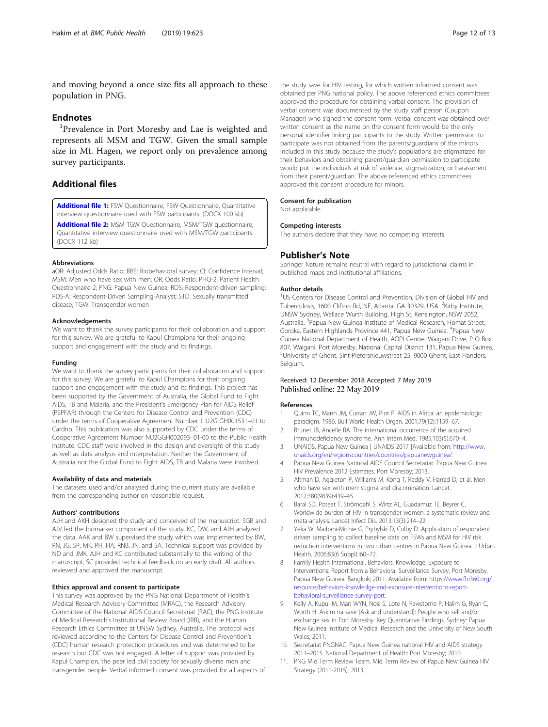<span id="page-11-0"></span>and moving beyond a once size fits all approach to these population in PNG.

## **Endnotes**

<sup>1</sup>Prevalence in Port Moresby and Lae is weighted and represents all MSM and TGW. Given the small sample size in Mt. Hagen, we report only on prevalence among survey participants.

## Additional files

[Additional file 1:](https://doi.org/10.1186/s12889-019-6942-7) FSW Questionnaire, FSW Questionnaire, Quantitative interview questionnaire used with FSW participants. (DOCX 100 kb)

[Additional file 2:](https://doi.org/10.1186/s12889-019-6942-7) MSM TGW Questionnaire, MSM/TGW questionnaire, Quantitative interview questionnaire used with MSM/TGW participants. (DOCX 112 kb)

#### Abbreviations

aOR: Adjusted Odds Ratio; BBS: Biobehavioral survey; CI: Confidence Interval; MSM: Men who have sex with men; OR: Odds Ratio; PHQ-2: Patient Health Questionnaire-2; PNG: Papua New Guinea; RDS: Respondent-driven sampling; RDS-A: Respondent-Driven Sampling-Analyst; STD: Sexually transmitted disease; TGW: Transgender women

#### Acknowledgements

We want to thank the survey participants for their collaboration and support for this survey. We are grateful to Kapul Champions for their ongoing support and engagement with the study and its findings.

#### Funding

We want to thank the survey participants for their collaboration and support for this survey. We are grateful to Kapul Champions for their ongoing support and engagement with the study and its findings. This project has been supported by the Government of Australia, the Global Fund to Fight AIDS, TB and Malaria, and the President's Emergency Plan for AIDS Relief (PEPFAR) through the Centers for Disease Control and Prevention (CDC) under the terms of Cooperative Agreement Number 1 U2G GH001531–01 to Cardno. This publication was also supported by CDC under the terms of Cooperative Agreement Number NU2GGH002093–01-00 to the Public Health Institute. CDC staff were involved in the design and oversight of this study as well as data analysis and interpretation. Neither the Government of Australia nor the Global Fund to Fight AIDS, TB and Malaria were involved.

#### Availability of data and materials

The datasets used and/or analysed during the current study are available from the corresponding author on reasonable request.

#### Authors' contributions

AJH and AKH designed the study and conceived of the manuscript. SGB and AJV led the biomarker component of the study. KC, DW, and AJH analyzed the data. AAK and BW supervised the study which was implemented by BW, RN, JG, SP, MK, PH, HA, RNB, JN, and SA. Technical support was provided by ND and JMK. AJH and KC contributed substantially to the writing of the manuscript, SC provided technical feedback on an early draft. All authors reviewed and approved the manuscript.

#### Ethics approval and consent to participate

This survey was approved by the PNG National Department of Health's Medical Research Advisory Committee (MRAC), the Research Advisory Committee of the National AIDS Council Secretariat (RAC), the PNG Institute of Medical Research's Institutional Review Board (IRB), and the Human Research Ethics Committee at UNSW Sydney, Australia. The protocol was reviewed according to the Centers for Disease Control and Prevention's (CDC) human research protection procedures and was determined to be research but CDC was not engaged. A letter of support was provided by Kapul Champion, the peer led civil society for sexually diverse men and transgender people. Verbal informed consent was provided for all aspects of the study save for HIV testing, for which written informed consent was obtained per PNG national policy. The above referenced ethics committees approved the procedure for obtaining verbal consent. The provision of verbal consent was documented by the study staff person (Coupon Manager) who signed the consent form. Verbal consent was obtained over written consent as the name on the consent form would be the only personal identifier linking participants to the study. Written permission to participate was not obtained from the parents/guardians of the minors included in this study because the study's populations are stigmatized for their behaviors and obtaining parent/guardian permission to participate would put the individuals at risk of violence, stigmatization, or harassment

from their parent/guardian. The above referenced ethics committees approved this consent procedure for minors.

## Consent for publication

Not applicable.

#### Competing interests

The authors declare that they have no competing interests.

#### Publisher's Note

Springer Nature remains neutral with regard to jurisdictional claims in published maps and institutional affiliations.

#### Author details

<sup>1</sup>US Centers for Disease Control and Prevention, Division of Global HIV and Tuberculosis, 1600 Clifton Rd, NE, Atlanta, GA 30329, USA. <sup>2</sup>Kirby Institute, UNSW Sydney, Wallace Wurth Building, High St, Kensington, NSW 2052, Australia. <sup>3</sup>Papua New Guinea Institute of Medical Research, Homat Street Goroka, Eastern Highlands Province 441, Papua New Guinea. <sup>4</sup>Papua New Guinea National Department of Health, AOPI Centre, Waigani Drive, P O Box 807, Waigani, Port Moresby, National Capital District 131, Papua New Guinea. 5 University of Ghent, Sint-Pietersnieuwstraat 25, 9000 Ghent, East Flanders, Belgium.

## Received: 12 December 2018 Accepted: 7 May 2019 Published online: 22 May 2019

#### References

- 1. Quinn TC, Mann JM, Curran JW, Piot P. AIDS in Africa: an epidemiologic paradigm. 1986. Bull World Health Organ. 2001;79(12):1159–67.
- 2. Brunet JB, Ancelle RA. The international occurrence of the acquired immunodeficiency syndrome. Ann Intern Med. 1985;103(5):670–4.
- 3. UNAIDS. Papua New Guinea | UNAIDS 2017 [Available from: [http://www.](http://www.unaids.org/en/regionscountries/countries/papuanewguinea/) [unaids.org/en/regionscountries/countries/papuanewguinea/](http://www.unaids.org/en/regionscountries/countries/papuanewguinea/).
- 4. Papua New Guinea Natinoal AIDS Council Secretariat. Papua New Guinea HIV Prevalence 2012 Estimates. Port Moresby; 2013.
- 5. Altman D, Aggleton P, Williams M, Kong T, Reddy V, Harrad D, et al. Men who have sex with men: stigma and discrimination. Lancet. 2012;380(9839):439–45.
- 6. Baral SD, Poteat T, Strömdahl S, Wirtz AL, Guadamuz TE, Beyrer C. Worldwide burden of HIV in transgender women: a systematic review and meta-analysis. Lancet Infect Dis. 2013;13(3):214–22.
- 7. Yeka W, Maibani-Michie G, Prybylski D, Colby D. Application of respondent driven sampling to collect baseline data on FSWs and MSM for HIV risk reduction interventions in two urban centres in Papua New Guinea. J Urban Health. 2006;83(6 Suppl):i60–72.
- Family Health International. Behaviors, Knowledge, Exposure to Interventions: Report from a Behavioral Surveillance Survey, Port Moresby, Papua New Guinea. Bangkok; 2011. Available from: [https://www.fhi360.org/](https://www.fhi360.org/resource/behaviors-knowledge-and-exposure-interventions-report-behavioral-surveillance-survey-port) [resource/behaviors-knowledge-and-exposure-interventions-report](https://www.fhi360.org/resource/behaviors-knowledge-and-exposure-interventions-report-behavioral-surveillance-survey-port)[behavioral-surveillance-survey-port](https://www.fhi360.org/resource/behaviors-knowledge-and-exposure-interventions-report-behavioral-surveillance-survey-port).
- 9. Kelly A, Kupul M, Man WYN, Nosi S, Lote N, Rawstorne P, Halim G, Ryan C, Worth H. Askim na save (Ask and understand): People who sell and/or exchange sex in Port Moresby. Key Quantitative Findings. Sydney: Papua New Guinea Institute of Medical Research and the University of New South Wales; 2011.
- 10. Secretariat PNGNAC. Papua New Guinea national HIV and AIDS strategy 2011–2015. National Department of Health: Port Moresby; 2010.
- 11. PNG Mid Term Review Team. Mid Term Review of Papua New Guinea HIV Strategy (2011-2015). 2013.